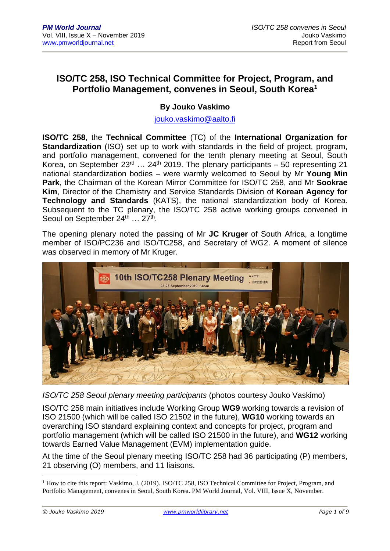## **ISO/TC 258, ISO Technical Committee for Project, Program, and Portfolio Management, convenes in Seoul, South Korea<sup>1</sup>**

## **By Jouko Vaskimo**

[jouko.vaskimo@aalto.fi](mailto:jouko.vaskimo@aalto.fi)

**ISO/TC 258**, the **Technical Committee** (TC) of the **International Organization for Standardization** (ISO) set up to work with standards in the field of project, program, and portfolio management, convened for the tenth plenary meeting at Seoul, South Korea, on September  $23<sup>rd</sup>$  ... 24<sup>th</sup> 2019. The plenary participants – 50 representing 21 national standardization bodies – were warmly welcomed to Seoul by Mr **Young Min Park**, the Chairman of the Korean Mirror Committee for ISO/TC 258, and Mr **Sookrae Kim**, Director of the Chemistry and Service Standards Division of **Korean Agency for Technology and Standards** (KATS), the national standardization body of Korea. Subsequent to the TC plenary, the ISO/TC 258 active working groups convened in Seoul on September 24<sup>th</sup> ... 27<sup>th</sup>.

The opening plenary noted the passing of Mr **JC Kruger** of South Africa, a longtime member of ISO/PC236 and ISO/TC258, and Secretary of WG2. A moment of silence was observed in memory of Mr Kruger.



*ISO/TC 258 Seoul plenary meeting participants* (photos courtesy Jouko Vaskimo)

ISO/TC 258 main initiatives include Working Group **WG9** working towards a revision of ISO 21500 (which will be called ISO 21502 in the future), **WG10** working towards an overarching ISO standard explaining context and concepts for project, program and portfolio management (which will be called ISO 21500 in the future), and **WG12** working towards Earned Value Management (EVM) implementation guide.

At the time of the Seoul plenary meeting ISO/TC 258 had 36 participating (P) members, 21 observing (O) members, and 11 liaisons.

<sup>&</sup>lt;sup>1</sup> How to cite this report: Vaskimo, J. (2019). ISO/TC 258, ISO Technical Committee for Project, Program, and Portfolio Management, convenes in Seoul, South Korea. PM World Journal, Vol. VIII, Issue X, November.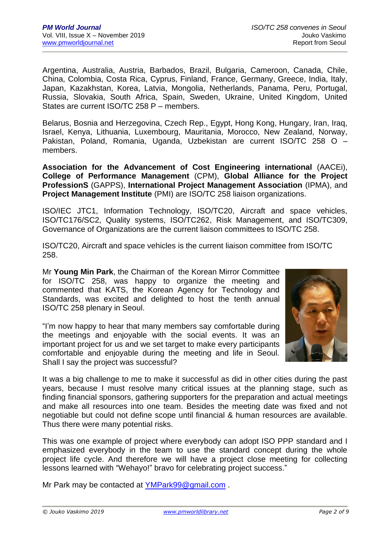Argentina, Australia, Austria, Barbados, Brazil, Bulgaria, Cameroon, Canada, Chile, China, Colombia, Costa Rica, Cyprus, Finland, France, Germany, Greece, India, Italy, Japan, Kazakhstan, Korea, Latvia, Mongolia, Netherlands, Panama, Peru, Portugal, Russia, Slovakia, South Africa, Spain, Sweden, Ukraine, United Kingdom, United States are current ISO/TC 258 P – members.

Belarus, Bosnia and Herzegovina, Czech Rep., Egypt, Hong Kong, Hungary, Iran, Iraq, Israel, Kenya, Lithuania, Luxembourg, Mauritania, Morocco, New Zealand, Norway, Pakistan, Poland, Romania, Uganda, Uzbekistan are current ISO/TC 258 O – members.

**Association for the Advancement of Cost Engineering international** (AACEi), **College of Performance Management** (CPM), **Global Alliance for the Project ProfessionS** (GAPPS), **International Project Management Association** (IPMA), and **Project Management Institute** (PMI) are ISO/TC 258 liaison organizations.

ISO/IEC JTC1, Information Technology, ISO/TC20, Aircraft and space vehicles, ISO/TC176/SC2, Quality systems, ISO/TC262, Risk Management, and ISO/TC309, Governance of Organizations are the current liaison committees to ISO/TC 258.

ISO/TC20, Aircraft and space vehicles is the current liaison committee from ISO/TC 258.

Mr **Young Min Park**, the Chairman of the Korean Mirror Committee for ISO/TC 258, was happy to organize the meeting and commented that KATS, the Korean Agency for Technology and Standards, was excited and delighted to host the tenth annual ISO/TC 258 plenary in Seoul.

"I'm now happy to hear that many members say comfortable during the meetings and enjoyable with the social events. It was an important project for us and we set target to make every participants comfortable and enjoyable during the meeting and life in Seoul. Shall I say the project was successful?



It was a big challenge to me to make it successful as did in other cities during the past years, because I must resolve many critical issues at the planning stage, such as finding financial sponsors, gathering supporters for the preparation and actual meetings and make all resources into one team. Besides the meeting date was fixed and not negotiable but could not define scope until financial & human resources are available. Thus there were many potential risks.

This was one example of project where everybody can adopt ISO PPP standard and I emphasized everybody in the team to use the standard concept during the whole project life cycle. And therefore we will have a project close meeting for collecting lessons learned with "Wehayo!" bravo for celebrating project success."

Mr Park may be contacted at **YMPark99@gmail.com**.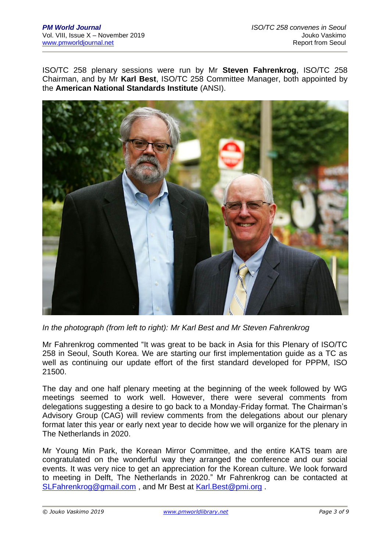ISO/TC 258 plenary sessions were run by Mr **Steven Fahrenkrog**, ISO/TC 258 Chairman, and by Mr **Karl Best**, ISO/TC 258 Committee Manager, both appointed by the **American National Standards Institute** (ANSI).



*In the photograph (from left to right): Mr Karl Best and Mr Steven Fahrenkrog*

Mr Fahrenkrog commented "It was great to be back in Asia for this Plenary of ISO/TC 258 in Seoul, South Korea. We are starting our first implementation guide as a TC as well as continuing our update effort of the first standard developed for PPPM, ISO 21500.

The day and one half plenary meeting at the beginning of the week followed by WG meetings seemed to work well. However, there were several comments from delegations suggesting a desire to go back to a Monday-Friday format. The Chairman's Advisory Group (CAG) will review comments from the delegations about our plenary format later this year or early next year to decide how we will organize for the plenary in The Netherlands in 2020.

Mr Young Min Park, the Korean Mirror Committee, and the entire KATS team are congratulated on the wonderful way they arranged the conference and our social events. It was very nice to get an appreciation for the Korean culture. We look forward to meeting in Delft, The Netherlands in 2020." Mr Fahrenkrog can be contacted at [SLFahrenkrog@gmail.com](mailto:SLFahrenkrog@gmail.com) , and Mr Best at [Karl.Best@pmi.org](mailto:Karl.Best@pmi.org) .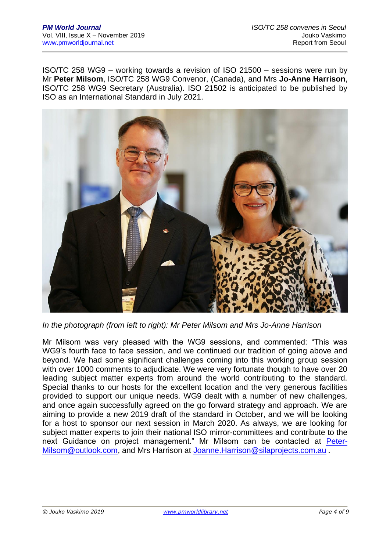ISO/TC 258 WG9 – working towards a revision of ISO 21500 – sessions were run by Mr **Peter Milsom**, ISO/TC 258 WG9 Convenor, (Canada), and Mrs **Jo-Anne Harrison**, ISO/TC 258 WG9 Secretary (Australia). ISO 21502 is anticipated to be published by ISO as an International Standard in July 2021.



*In the photograph (from left to right): Mr Peter Milsom and Mrs Jo-Anne Harrison*

Mr Milsom was very pleased with the WG9 sessions, and commented: "This was WG9's fourth face to face session, and we continued our tradition of going above and beyond. We had some significant challenges coming into this working group session with over 1000 comments to adjudicate. We were very fortunate though to have over 20 leading subject matter experts from around the world contributing to the standard. Special thanks to our hosts for the excellent location and the very generous facilities provided to support our unique needs. WG9 dealt with a number of new challenges, and once again successfully agreed on the go forward strategy and approach. We are aiming to provide a new 2019 draft of the standard in October, and we will be looking for a host to sponsor our next session in March 2020. As always, we are looking for subject matter experts to join their national ISO mirror-committees and contribute to the next Guidance on project management." Mr Milsom can be contacted at [Peter-](mailto:Peter-Milsom@outlook.com)[Milsom@outlook.com,](mailto:Peter-Milsom@outlook.com) and Mrs Harrison at [Joanne.Harrison@silaprojects.com.au](mailto:Joanne.Harrison@silaprojects.com.au) .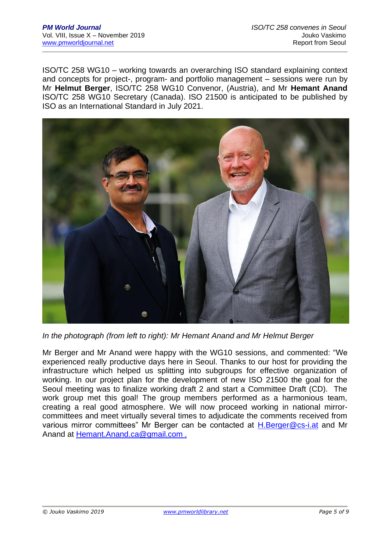ISO/TC 258 WG10 – working towards an overarching ISO standard explaining context and concepts for project-, program- and portfolio management – sessions were run by Mr **Helmut Berger**, ISO/TC 258 WG10 Convenor, (Austria), and Mr **Hemant Anand**  ISO/TC 258 WG10 Secretary (Canada). ISO 21500 is anticipated to be published by ISO as an International Standard in July 2021.



*In the photograph (from left to right): Mr Hemant Anand and Mr Helmut Berger*

Mr Berger and Mr Anand were happy with the WG10 sessions, and commented: "We experienced really productive days here in Seoul. Thanks to our host for providing the infrastructure which helped us splitting into subgroups for effective organization of working. In our project plan for the development of new ISO 21500 the goal for the Seoul meeting was to finalize working draft 2 and start a Committee Draft (CD). The work group met this goal! The group members performed as a harmonious team, creating a real good atmosphere. We will now proceed working in national mirrorcommittees and meet virtually several times to adjudicate the comments received from various mirror committees" Mr Berger can be contacted at [H.Berger@cs-i.at](mailto:H.Berger@cs-i.at) and Mr Anand at [Hemant.Anand.ca@gmail.com](mailto:Hemant.Anand.ca@gmail.com) .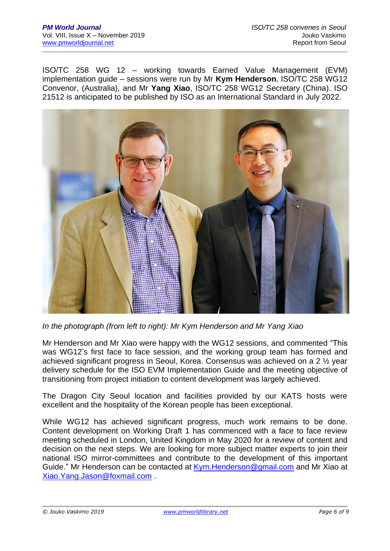ISO/TC 258 WG 12 – working towards Earned Value Management (EVM) implementation guide – sessions were run by Mr **Kym Henderson**, ISO/TC 258 WG12 Convenor, (Australia), and Mr **Yang Xiao**, ISO/TC 258 WG12 Secretary (China). ISO 21512 is anticipated to be published by ISO as an International Standard in July 2022.



*In the photograph (from left to right): Mr Kym Henderson and Mr Yang Xiao*

Mr Henderson and Mr Xiao were happy with the WG12 sessions, and commented "This was WG12's first face to face session, and the working group team has formed and achieved significant progress in Seoul, Korea. Consensus was achieved on a 2 ½ year delivery schedule for the ISO EVM Implementation Guide and the meeting objective of transitioning from project initiation to content development was largely achieved.

The Dragon City Seoul location and facilities provided by our KATS hosts were excellent and the hospitality of the Korean people has been exceptional.

While WG12 has achieved significant progress, much work remains to be done. Content development on Working Draft 1 has commenced with a face to face review meeting scheduled in London, United Kingdom in May 2020 for a review of content and decision on the next steps. We are looking for more subject matter experts to join their national ISO mirror-committees and contribute to the development of this important Guide." Mr Henderson can be contacted at [Kym.Henderson@gmail.com](mailto:Kym.Henderson@gmail.com) and Mr Xiao at [Xiao.Yang.Jason@foxmail.com](mailto:Xiao.Yang.Jason@foxmail.com) .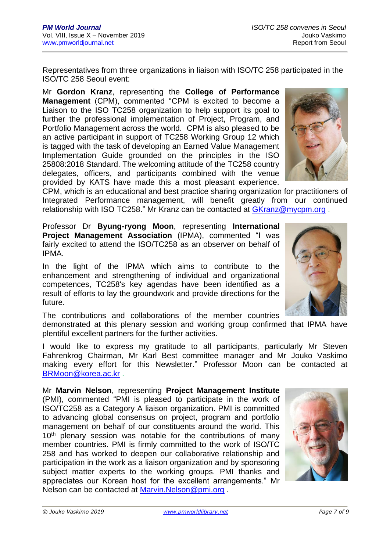Representatives from three organizations in liaison with ISO/TC 258 participated in the ISO/TC 258 Seoul event:

Mr **Gordon Kranz**, representing the **College of Performance Management** (CPM), commented "CPM is excited to become a Liaison to the ISO TC258 organization to help support its goal to further the professional implementation of Project, Program, and Portfolio Management across the world. CPM is also pleased to be an active participant in support of TC258 Working Group 12 which is tagged with the task of developing an Earned Value Management Implementation Guide grounded on the principles in the ISO 25808:2018 Standard. The welcoming attitude of the TC258 country delegates, officers, and participants combined with the venue provided by KATS have made this a most pleasant experience.



CPM, which is an educational and best practice sharing organization for practitioners of Integrated Performance management, will benefit greatly from our continued relationship with ISO TC258." Mr Kranz can be contacted at [GKranz@mycpm.org](mailto:GKranz@mycpm.org) .

Professor Dr **Byung-ryong Moon**, representing **International Project Management Association** (IPMA), commented "I was fairly excited to attend the ISO/TC258 as an observer on behalf of IPMA.

In the light of the IPMA which aims to contribute to the enhancement and strengthening of individual and organizational competences, TC258's key agendas have been identified as a result of efforts to lay the groundwork and provide directions for the future.

The contributions and collaborations of the member countries

demonstrated at this plenary session and working group confirmed that IPMA have plentiful excellent partners for the further activities.

I would like to express my gratitude to all participants, particularly Mr Steven Fahrenkrog Chairman, Mr Karl Best committee manager and Mr Jouko Vaskimo making every effort for this Newsletter." Professor Moon can be contacted at [BRMoon@korea.ac.kr](mailto:BRMoon@korea.ac.kr) .

Mr **Marvin Nelson**, representing **Project Management Institute** (PMI), commented "PMI is pleased to participate in the work of ISO/TC258 as a Category A liaison organization. PMI is committed to advancing global consensus on project, program and portfolio management on behalf of our constituents around the world. This 10<sup>th</sup> plenary session was notable for the contributions of many member countries. PMI is firmly committed to the work of ISO/TC 258 and has worked to deepen our collaborative relationship and participation in the work as a liaison organization and by sponsoring subject matter experts to the working groups. PMI thanks and appreciates our Korean host for the excellent arrangements." Mr Nelson can be contacted at [Marvin.Nelson@pmi.org](mailto:Marvin.Nelson@pmi.org) .



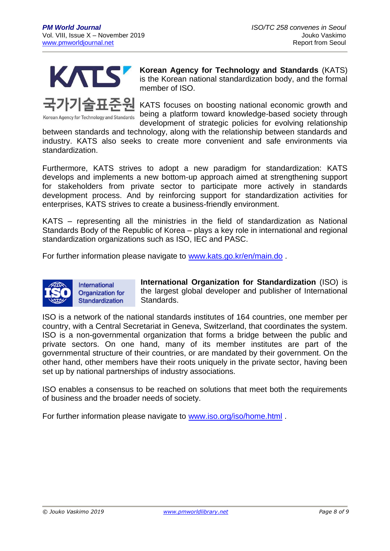

Korean Agency for Technology and Standards

**Korean Agency for Technology and Standards** (KATS) is the Korean national standardization body, and the formal member of ISO.

KATS focuses on boosting national economic growth and being a platform toward knowledge-based society through development of strategic policies for evolving relationship

between standards and technology, along with the relationship between standards and industry. KATS also seeks to create more convenient and safe environments via standardization.

Furthermore, KATS strives to adopt a new paradigm for standardization: KATS develops and implements a new bottom-up approach aimed at strengthening support for stakeholders from private sector to participate more actively in standards development process. And by reinforcing support for standardization activities for enterprises, KATS strives to create a business-friendly environment.

KATS – representing all the ministries in the field of standardization as National Standards Body of the Republic of Korea – plays a key role in international and regional standardization organizations such as ISO, IEC and PASC.

For further information please navigate to [www.kats.go.kr/en/main.do](http://www.kats.go.kr/en/main.do) .



**International Organization for Standardization** (ISO) is the largest global developer and publisher of International Standards.

ISO is a network of the national standards institutes of 164 countries, one member per country, with a Central Secretariat in Geneva, Switzerland, that coordinates the system. ISO is a non-governmental organization that forms a bridge between the public and private sectors. On one hand, many of its member institutes are part of the governmental structure of their countries, or are mandated by their government. On the other hand, other members have their roots uniquely in the private sector, having been set up by national partnerships of industry associations.

ISO enables a consensus to be reached on solutions that meet both the requirements of business and the broader needs of society.

For further information please navigate to [www.iso.org/iso/home.html](http://www.iso.org/iso/home.html) .